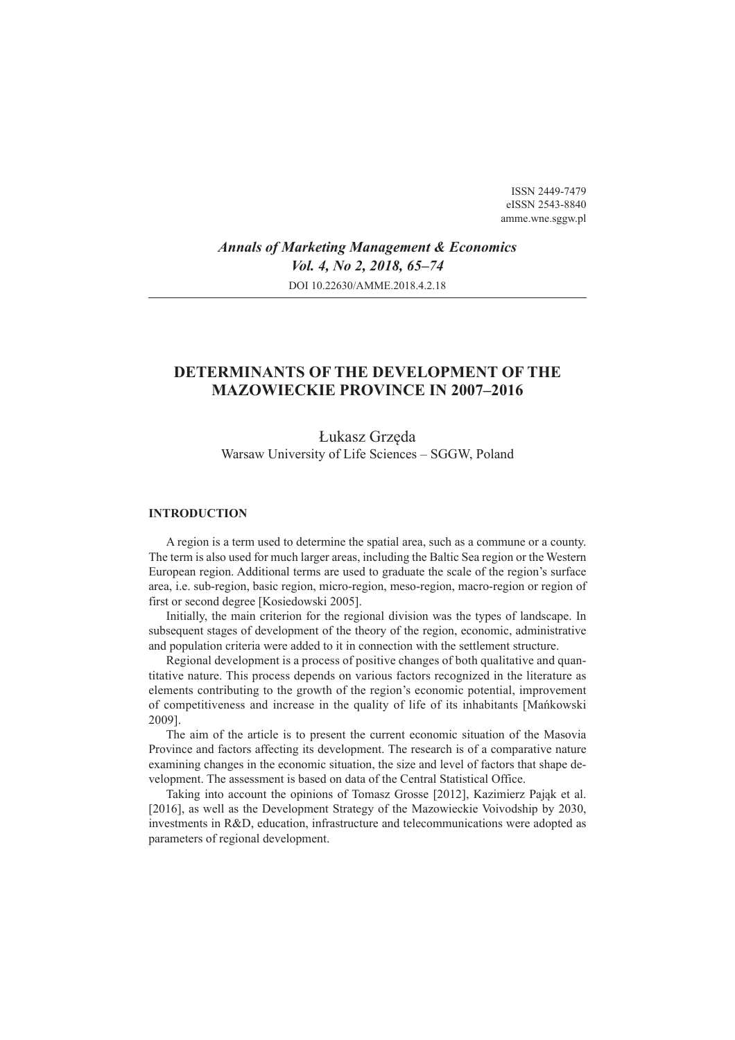ISSN 2449-7479 eISSN 2543-8840 amme.wne.sggw.pl

*Annals of Marketing Management & Economics Vol. 4, No 2, 2018, 65–74* DOI 10.22630/AMME.2018.4.2.18

# **DETERMINANTS OF THE DEVELOPMENT OF THE MAZOWIECKIE PROVINCE IN 2007–2016**

Łukasz Grzęda Warsaw University of Life Sciences – SGGW, Poland

### **INTRODUCTION**

A region is a term used to determine the spatial area, such as a commune or a county. The term is also used for much larger areas, including the Baltic Sea region or the Western European region. Additional terms are used to graduate the scale of the region's surface area, i.e. sub-region, basic region, micro-region, meso-region, macro-region or region of first or second degree [Kosiedowski 2005].

Initially, the main criterion for the regional division was the types of landscape. In subsequent stages of development of the theory of the region, economic, administrative and population criteria were added to it in connection with the settlement structure.

Regional development is a process of positive changes of both qualitative and quantitative nature. This process depends on various factors recognized in the literature as elements contributing to the growth of the region's economic potential, improvement of competitiveness and increase in the quality of life of its inhabitants [Mańkowski 2009].

The aim of the article is to present the current economic situation of the Masovia Province and factors affecting its development. The research is of a comparative nature examining changes in the economic situation, the size and level of factors that shape development. The assessment is based on data of the Central Statistical Office.

Taking into account the opinions of Tomasz Grosse [2012], Kazimierz Pająk et al. [2016], as well as the Development Strategy of the Mazowieckie Voivodship by 2030, investments in R&D, education, infrastructure and telecommunications were adopted as parameters of regional development.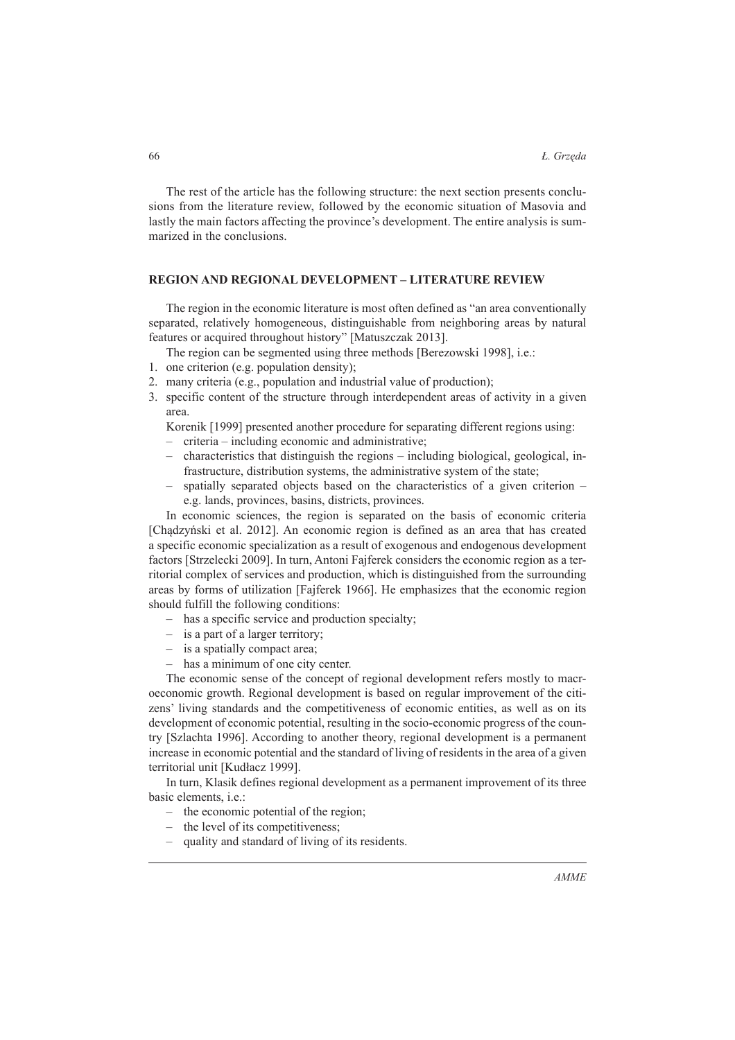The rest of the article has the following structure: the next section presents conclusions from the literature review, followed by the economic situation of Masovia and lastly the main factors affecting the province's development. The entire analysis is summarized in the conclusions.

### **REGION AND REGIONAL DEVELOPMENT – LITERATURE REVIEW**

The region in the economic literature is most often defined as "an area conventionally separated, relatively homogeneous, distinguishable from neighboring areas by natural features or acquired throughout history" [Matuszczak 2013].

The region can be segmented using three methods [Berezowski 1998], i.e.:

- 1. one criterion (e.g. population density);
- 2. many criteria (e.g., population and industrial value of production);
- 3. specific content of the structure through interdependent areas of activity in a given area.

Korenik [1999] presented another procedure for separating different regions using:

- criteria including economic and administrative;
- characteristics that distinguish the regions including biological, geological, infrastructure, distribution systems, the administrative system of the state;
- spatially separated objects based on the characteristics of a given criterion e.g. lands, provinces, basins, districts, provinces. –

In economic sciences, the region is separated on the basis of economic criteria [Chadzyński et al. 2012]. An economic region is defined as an area that has created a specific economic specialization as a result of exogenous and endogenous development factors [Strzelecki 2009]. In turn, Antoni Fajferek considers the economic region as a territorial complex of services and production, which is distinguished from the surrounding areas by forms of utilization [Fajferek 1966]. He emphasizes that the economic region should fulfill the following conditions:

- has a specific service and production specialty;
- is a part of a larger territory;
- is a spatially compact area;
- has a minimum of one city center.

The economic sense of the concept of regional development refers mostly to macroeconomic growth. Regional development is based on regular improvement of the citizens' living standards and the competitiveness of economic entities, as well as on its development of economic potential, resulting in the socio-economic progress of the country [Szlachta 1996]. According to another theory, regional development is a permanent increase in economic potential and the standard of living of residents in the area of a given territorial unit [Kudáacz 1999].

In turn, Klasik defines regional development as a permanent improvement of its three basic elements, i.e.:

- the economic potential of the region;
- the level of its competitiveness;
- quality and standard of living of its residents.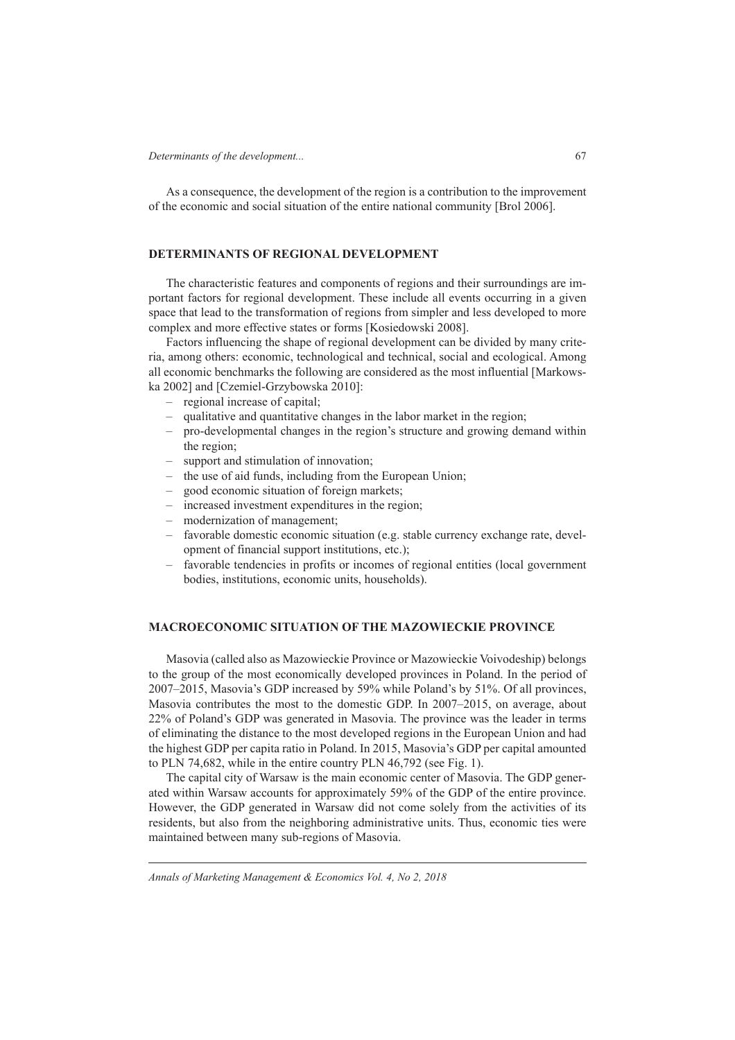As a consequence, the development of the region is a contribution to the improvement of the economic and social situation of the entire national community [Brol 2006].

## **DETERMINANTS OF REGIONAL DEVELOPMENT**

The characteristic features and components of regions and their surroundings are important factors for regional development. These include all events occurring in a given space that lead to the transformation of regions from simpler and less developed to more complex and more effective states or forms [Kosiedowski 2008].

Factors influencing the shape of regional development can be divided by many criteria, among others: economic, technological and technical, social and ecological. Among all economic benchmarks the following are considered as the most influential [Markowska 2002] and [Czemiel-Grzybowska 2010]:

- regional increase of capital;
- qualitative and quantitative changes in the labor market in the region;
- pro-developmental changes in the region's structure and growing demand within the region;
- support and stimulation of innovation;
- the use of aid funds, including from the European Union;
- good economic situation of foreign markets;
- increased investment expenditures in the region;
- modernization of management;
- favorable domestic economic situation (e.g. stable currency exchange rate, development of financial support institutions, etc.);
- favorable tendencies in profits or incomes of regional entities (local government bodies, institutions, economic units, households).

## **MACROECONOMIC SITUATION OF THE MAZOWIECKIE PROVINCE**

Masovia (called also as Mazowieckie Province or Mazowieckie Voivodeship) belongs to the group of the most economically developed provinces in Poland. In the period of 2007–2015, Masovia's GDP increased by 59% while Poland's by 51%. Of all provinces, Masovia contributes the most to the domestic GDP. In 2007–2015, on average, about 22% of Poland's GDP was generated in Masovia. The province was the leader in terms of eliminating the distance to the most developed regions in the European Union and had the highest GDP per capita ratio in Poland. In 2015, Masovia's GDP per capital amounted to PLN 74,682, while in the entire country PLN 46,792 (see Fig. 1).

The capital city of Warsaw is the main economic center of Masovia. The GDP generated within Warsaw accounts for approximately 59% of the GDP of the entire province. However, the GDP generated in Warsaw did not come solely from the activities of its residents, but also from the neighboring administrative units. Thus, economic ties were maintained between many sub-regions of Masovia.

*Annals of Marketing Management & Economics Vol. 4, No 2, 2018*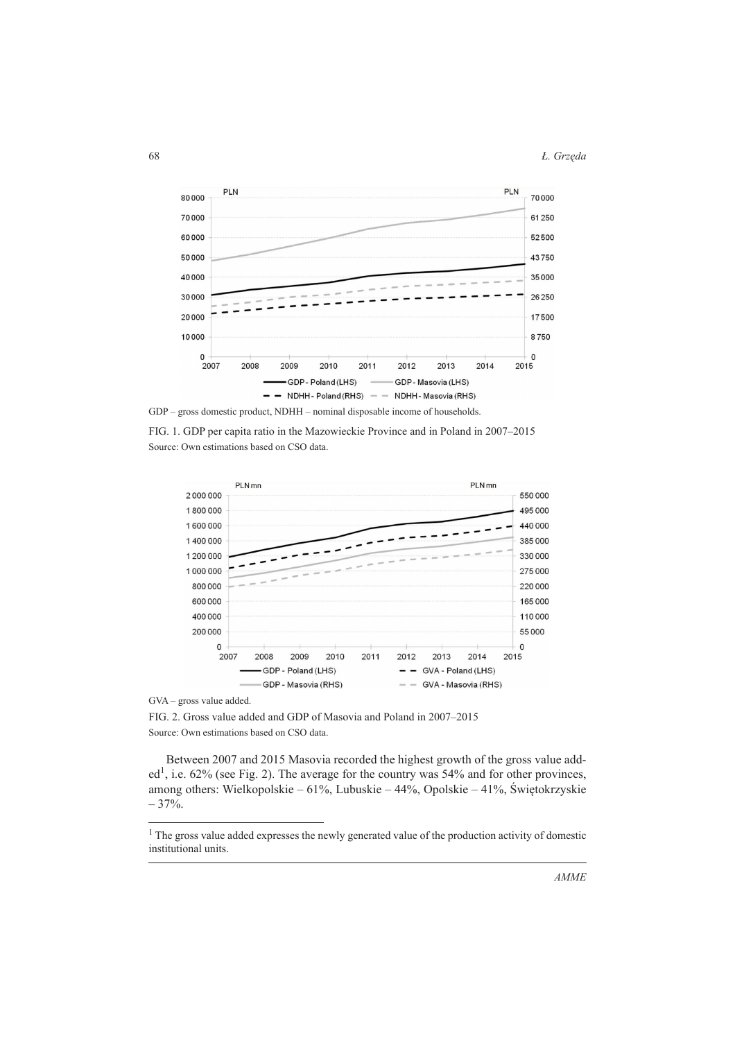68 *à. GrzĊda*



FIG. 1. GDP per capita ratio in the Mazowieckie Province and in Poland in 2007–2015 Source: Own estimations based on CSO data.



GVA – gross value added.

FIG. 2. Gross value added and GDP of Masovia and Poland in 2007–2015 Source: Own estimations based on CSO data.

Between 2007 and 2015 Masovia recorded the highest growth of the gross value added<sup>1</sup>, i.e. 62% (see Fig. 2). The average for the country was 54% and for other provinces, among others: Wielkopolskie – 61%, Lubuskie – 44%, Opolskie – 41%, Świętokrzyskie  $-37%$ .

<sup>&</sup>lt;sup>1</sup> The gross value added expresses the newly generated value of the production activity of domestic institutional units.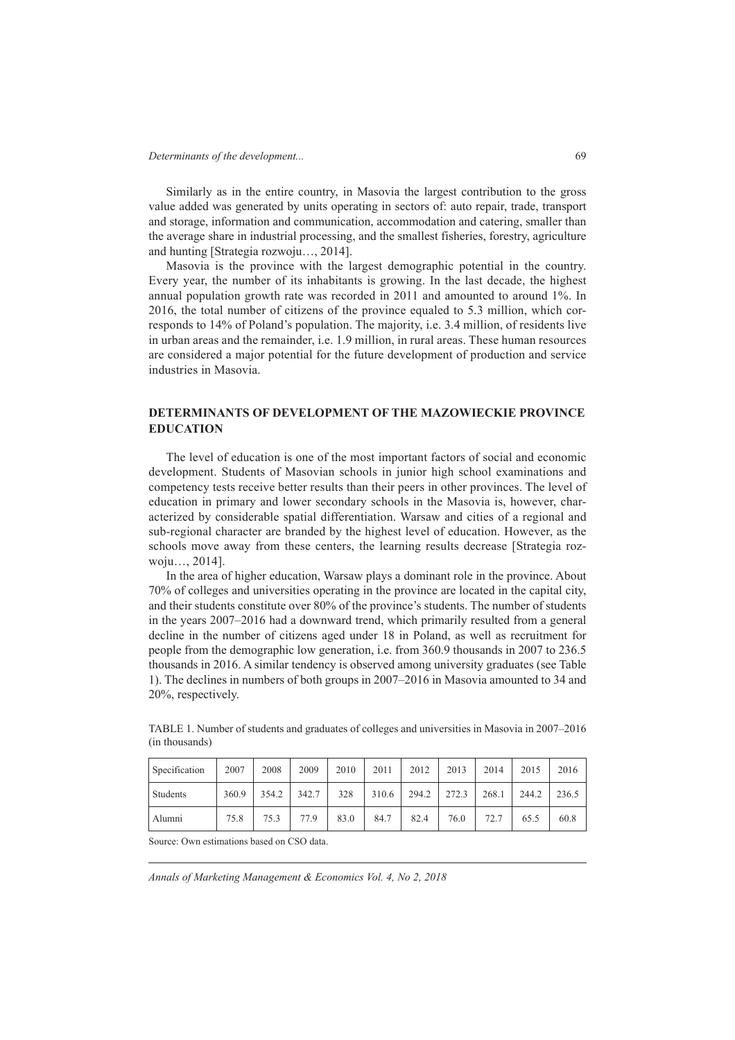Similarly as in the entire country, in Masovia the largest contribution to the gross value added was generated by units operating in sectors of: auto repair, trade, transport and storage, information and communication, accommodation and catering, smaller than the average share in industrial processing, and the smallest fisheries, forestry, agriculture and hunting [Strategia rozwoju…, 2014].

Masovia is the province with the largest demographic potential in the country. Every year, the number of its inhabitants is growing. In the last decade, the highest annual population growth rate was recorded in 2011 and amounted to around 1%. In 2016, the total number of citizens of the province equaled to 5.3 million, which corresponds to 14% of Poland's population. The majority, i.e. 3.4 million, of residents live in urban areas and the remainder, i.e. 1.9 million, in rural areas. These human resources are considered a major potential for the future development of production and service industries in Masovia.

# **DETERMINANTS OF DEVELOPMENT OF THE MAZOWIECKIE PROVINCE EDUCATION**

The level of education is one of the most important factors of social and economic development. Students of Masovian schools in junior high school examinations and competency tests receive better results than their peers in other provinces. The level of education in primary and lower secondary schools in the Masovia is, however, characterized by considerable spatial differentiation. Warsaw and cities of a regional and sub-regional character are branded by the highest level of education. However, as the schools move away from these centers, the learning results decrease [Strategia rozwoju…, 2014].

In the area of higher education, Warsaw plays a dominant role in the province. About 70% of colleges and universities operating in the province are located in the capital city, and their students constitute over 80% of the province's students. The number of students in the years 2007–2016 had a downward trend, which primarily resulted from a general decline in the number of citizens aged under 18 in Poland, as well as recruitment for people from the demographic low generation, i.e. from 360.9 thousands in 2007 to 236.5 thousands in 2016. A similar tendency is observed among university graduates (see Table 1). The declines in numbers of both groups in 2007–2016 in Masovia amounted to 34 and 20%, respectively.

| Specification | 2007  | 2008  | 2009  | 2010 | 2011  | 2012  | 2013  | 2014  | 2015  | 2016  |
|---------------|-------|-------|-------|------|-------|-------|-------|-------|-------|-------|
| Students      | 360.9 | 354.2 | 342.7 | 328  | 310.6 | 294.2 | 272.3 | 268.1 | 244.2 | 236.5 |
| Alumni        | 75.8  | 75.3  | 77.9  | 83.0 | 84.7  | 82.4  | 76.0  | 72.7  | 65.5  | 60.8  |

TABLE 1. Number of students and graduates of colleges and universities in Masovia in 2007–2016 (in thousands)

Source: Own estimations based on CSO data.

*Annals of Marketing Management & Economics Vol. 4, No 2, 2018*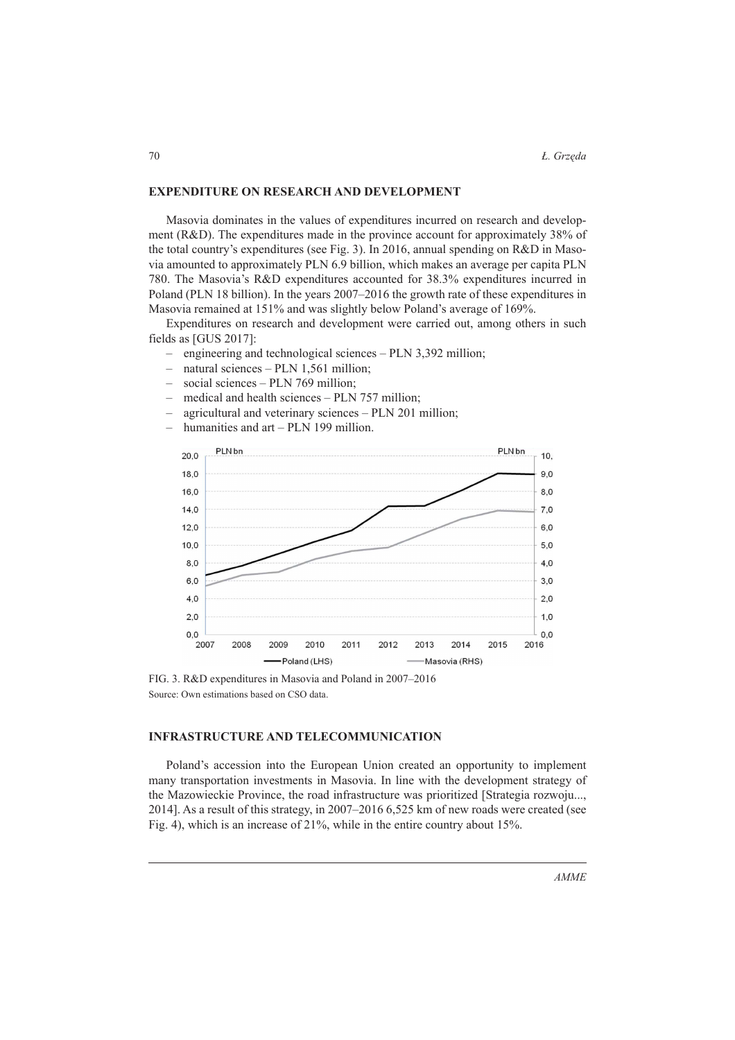### **EXPENDITURE ON RESEARCH AND DEVELOPMENT**

Masovia dominates in the values of expenditures incurred on research and development (R&D). The expenditures made in the province account for approximately 38% of the total country's expenditures (see Fig. 3). In 2016, annual spending on R&D in Masovia amounted to approximately PLN 6.9 billion, which makes an average per capita PLN 780. The Masovia's R&D expenditures accounted for 38.3% expenditures incurred in Poland (PLN 18 billion). In the years 2007–2016 the growth rate of these expenditures in Masovia remained at 151% and was slightly below Poland's average of 169%.

Expenditures on research and development were carried out, among others in such fields as [GUS 2017]:

- engineering and technological sciences PLN 3,392 million; –
- natural sciences PLN 1,561 million; –
- social sciences PLN 769 million; –
- medical and health sciences PLN 757 million; –
- agricultural and veterinary sciences PLN 201 million; –
- humanities and art PLN 199 million. –



FIG. 3. R&D expenditures in Masovia and Poland in 2007–2016 Source: Own estimations based on CSO data.

# **INFRASTRUCTURE AND TELECOMMUNICATION**

Poland's accession into the European Union created an opportunity to implement many transportation investments in Masovia. In line with the development strategy of the Mazowieckie Province, the road infrastructure was prioritized [Strategia rozwoju..., 2014]. As a result of this strategy, in 2007–2016 6,525 km of new roads were created (see Fig. 4), which is an increase of 21%, while in the entire country about 15%.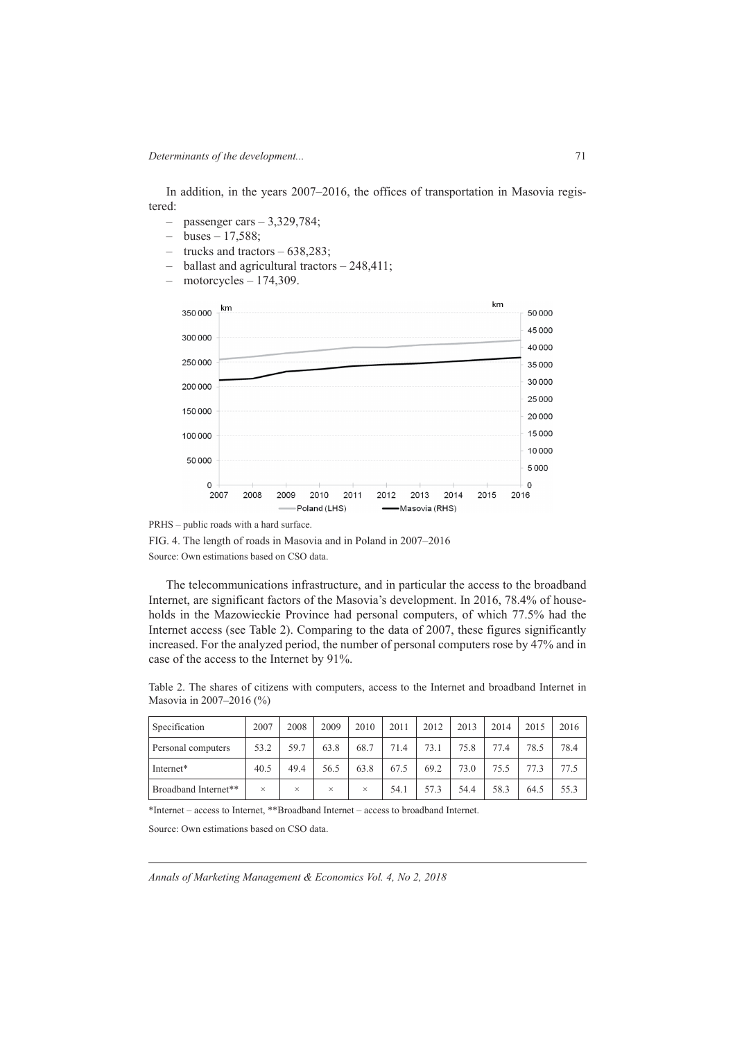In addition, in the years 2007–2016, the offices of transportation in Masovia registered:

- passenger cars 3,329,784; –
- buses 17,588; –
- trucks and tractors 638,283;
- ballast and agricultural tractors 248,411; –
- motorcycles 174,309.  $\equiv$



FIG. 4. The length of roads in Masovia and in Poland in 2007–2016 Source: Own estimations based on CSO data.

The telecommunications infrastructure, and in particular the access to the broadband Internet, are significant factors of the Masovia's development. In 2016, 78.4% of households in the Mazowieckie Province had personal computers, of which 77.5% had the Internet access (see Table 2). Comparing to the data of 2007, these figures significantly increased. For the analyzed period, the number of personal computers rose by 47% and in case of the access to the Internet by 91%.

Table 2. The shares of citizens with computers, access to the Internet and broadband Internet in Masovia in 2007–2016 (%)

| Specification        | 2007     | 2008     | 2009     | 2010 | 2011 | 2012 | 2013 | 2014 | 2015 | 2016 |
|----------------------|----------|----------|----------|------|------|------|------|------|------|------|
| Personal computers   | 53.2     | 59.7     | 63.8     | 68.7 | 71.4 | 73.1 | 75.8 | 77.4 | 78.5 | 78.4 |
| Internet*            | 40.5     | 49.4     | 56.5     | 63.8 | 67.5 | 69.2 | 73.0 | 75.5 | 773  | 77.5 |
| Broadband Internet** | $\times$ | $\times$ | $\times$ | ×    | 54.1 | 57.3 | 54.4 | 58.3 | 64.5 | 55.3 |

\*Internet – access to Internet, \*\*Broadband Internet – access to broadband Internet.

Source: Own estimations based on CSO data.

*Annals of Marketing Management & Economics Vol. 4, No 2, 2018*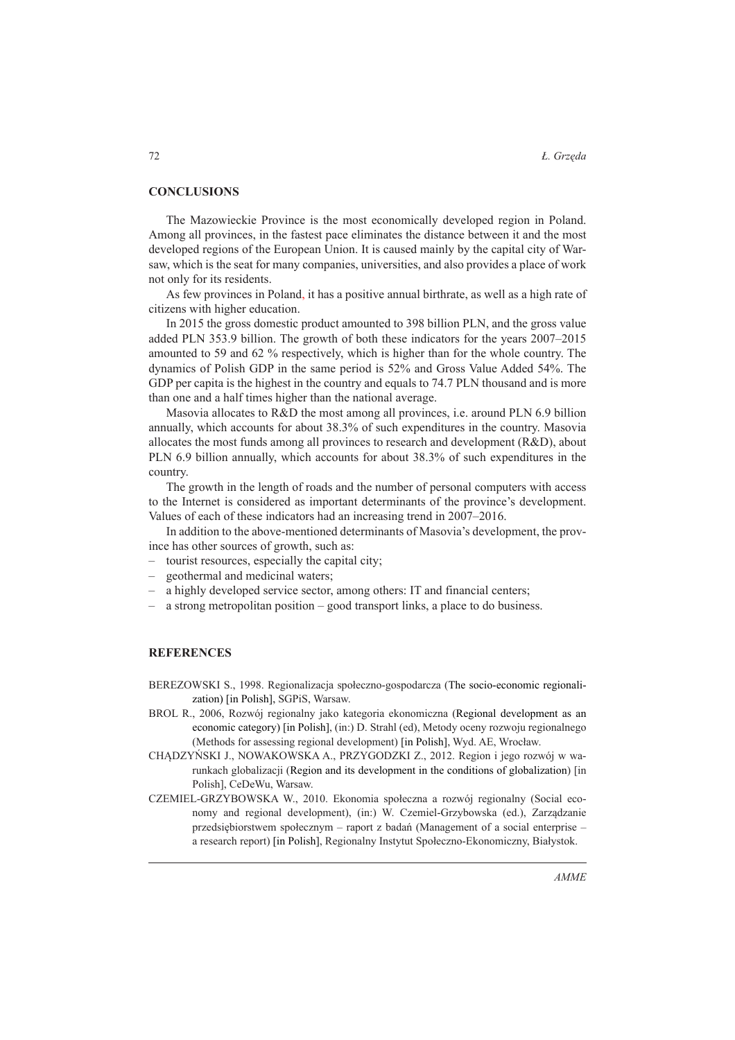### **CONCLUSIONS**

The Mazowieckie Province is the most economically developed region in Poland. Among all provinces, in the fastest pace eliminates the distance between it and the most developed regions of the European Union. It is caused mainly by the capital city of Warsaw, which is the seat for many companies, universities, and also provides a place of work not only for its residents.

As few provinces in Poland, it has a positive annual birthrate, as well as a high rate of citizens with higher education.

In 2015 the gross domestic product amounted to 398 billion PLN, and the gross value added PLN 353.9 billion. The growth of both these indicators for the years 2007–2015 amounted to 59 and 62 % respectively, which is higher than for the whole country. The dynamics of Polish GDP in the same period is 52% and Gross Value Added 54%. The GDP per capita is the highest in the country and equals to 74.7 PLN thousand and is more than one and a half times higher than the national average.

Masovia allocates to R&D the most among all provinces, i.e. around PLN 6.9 billion annually, which accounts for about 38.3% of such expenditures in the country. Masovia allocates the most funds among all provinces to research and development (R&D), about PLN 6.9 billion annually, which accounts for about 38.3% of such expenditures in the country.

The growth in the length of roads and the number of personal computers with access to the Internet is considered as important determinants of the province's development. Values of each of these indicators had an increasing trend in 2007–2016.

In addition to the above-mentioned determinants of Masovia's development, the province has other sources of growth, such as:

- tourist resources, especially the capital city;
- geothermal and medicinal waters; –
- a highly developed service sector, among others: IT and financial centers; –
- a strong metropolitan position good transport links, a place to do business. –

#### **REFERENCES**

- BEREZOWSKI S., 1998. Regionalizacja społeczno-gospodarcza (The socio-economic regionalization) [in Polish], SGPiS, Warsaw.
- BROL R., 2006, Rozwój regionalny jako kategoria ekonomiczna (Regional development as an economic category) [in Polish], (in:) D. Strahl (ed), Metody oceny rozwoju regionalnego (Methods for assessing regional development) [in Polish], Wyd. AE, Wrocáaw.
- CHĄDZYŃSKI J., NOWAKOWSKA A., PRZYGODZKI Z., 2012. Region i jego rozwój w warunkach globalizacji (Region and its development in the conditions of globalization) [in Polish], CeDeWu, Warsaw.
- CZEMIEL-GRZYBOWSKA W., 2010. Ekonomia społeczna a rozwój regionalny (Social economy and regional development), (in:) W. Czemiel-Grzybowska (ed.), Zarządzanie przedsiębiorstwem społecznym – raport z badań (Management of a social enterprise – a research report) [in Polish], Regionalny Instytut Społeczno-Ekonomiczny, Białystok.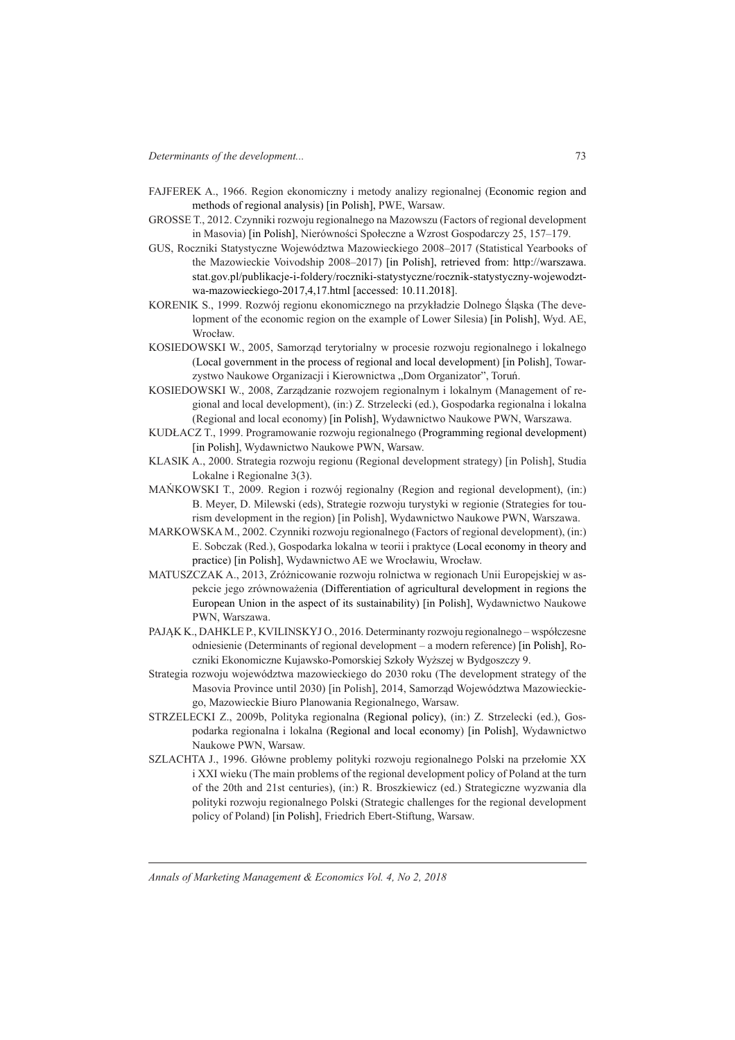- FAJFEREK A., 1966. Region ekonomiczny i metody analizy regionalnej (Economic region and methods of regional analysis) [in Polish], PWE, Warsaw.
- GROSSE T., 2012. Czynniki rozwoju regionalnego na Mazowszu (Factors of regional development in Masovia) [in Polish], Nierówności Społeczne a Wzrost Gospodarczy 25, 157-179.
- GUS, Roczniki Statystyczne Województwa Mazowieckiego 2008–2017 (Statistical Yearbooks of the Mazowieckie Voivodship 2008–2017) [in Polish], retrieved from: http://warszawa. stat.gov.pl/publikacje-i-foldery/roczniki-statystyczne/rocznik-statystyczny-wojewodztwa-mazowieckiego-2017,4,17.html [accessed: 10.11.2018].
- KORENIK S., 1999. Rozwój regionu ekonomicznego na przykáadzie Dolnego ĝląska (The development of the economic region on the example of Lower Silesia) [in Polish], Wyd. AE, Wrocław.
- KOSIEDOWSKI W., 2005, Samorząd terytorialny w procesie rozwoju regionalnego i lokalnego (Local government in the process of regional and local development) [in Polish], Towarzystwo Naukowe Organizacji i Kierownictwa "Dom Organizator", Toruń.
- KOSIEDOWSKI W., 2008, Zarządzanie rozwojem regionalnym i lokalnym (Management of regional and local development), (in:) Z. Strzelecki (ed.), Gospodarka regionalna i lokalna (Regional and local economy) [in Polish], Wydawnictwo Naukowe PWN, Warszawa.
- KUDŁACZ T., 1999. Programowanie rozwoju regionalnego (Programming regional development) [in Polish], Wydawnictwo Naukowe PWN, Warsaw.
- KLASIK A., 2000. Strategia rozwoju regionu (Regional development strategy) [in Polish], Studia Lokalne i Regionalne 3(3).
- MAŇKOWSKI T., 2009. Region i rozwój regionalny (Region and regional development), (in:) B. Meyer, D. Milewski (eds), Strategie rozwoju turystyki w regionie (Strategies for tourism development in the region) [in Polish], Wydawnictwo Naukowe PWN, Warszawa.
- MARKOWSKA M., 2002. Czynniki rozwoju regionalnego (Factors of regional development), (in:) E. Sobczak (Red.), Gospodarka lokalna w teorii i praktyce (Local economy in theory and practice) [in Polish], Wydawnictwo AE we Wrocáawiu, Wrocáaw.
- MATUSZCZAK A., 2013, Zróżnicowanie rozwoju rolnictwa w regionach Unii Europejskiej w aspekcie jego zrównoważenia (Differentiation of agricultural development in regions the European Union in the aspect of its sustainability) [in Polish], Wydawnictwo Naukowe PWN, Warszawa.
- PAJĄK K., DAHKLE P., KVILINSKYJ O., 2016. Determinanty rozwoju regionalnego współczesne odniesienie (Determinants of regional development – a modern reference) [in Polish], Roczniki Ekonomiczne Kujawsko-Pomorskiej Szkoły Wyższej w Bydgoszczy 9.
- Strategia rozwoju województwa mazowieckiego do 2030 roku (The development strategy of the Masovia Province until 2030) [in Polish], 2014, Samorząd Województwa Mazowieckiego, Mazowieckie Biuro Planowania Regionalnego, Warsaw.
- STRZELECKI Z., 2009b, Polityka regionalna (Regional policy), (in:) Z. Strzelecki (ed.), Gospodarka regionalna i lokalna (Regional and local economy) [in Polish], Wydawnictwo Naukowe PWN, Warsaw.
- SZLACHTA J., 1996. Główne problemy polityki rozwoju regionalnego Polski na przełomie XX i XXI wieku (The main problems of the regional development policy of Poland at the turn of the 20th and 21st centuries), (in:) R. Broszkiewicz (ed.) Strategiczne wyzwania dla polityki rozwoju regionalnego Polski (Strategic challenges for the regional development policy of Poland) [in Polish], Friedrich Ebert-Stiftung, Warsaw.

*Annals of Marketing Management & Economics Vol. 4, No 2, 2018*